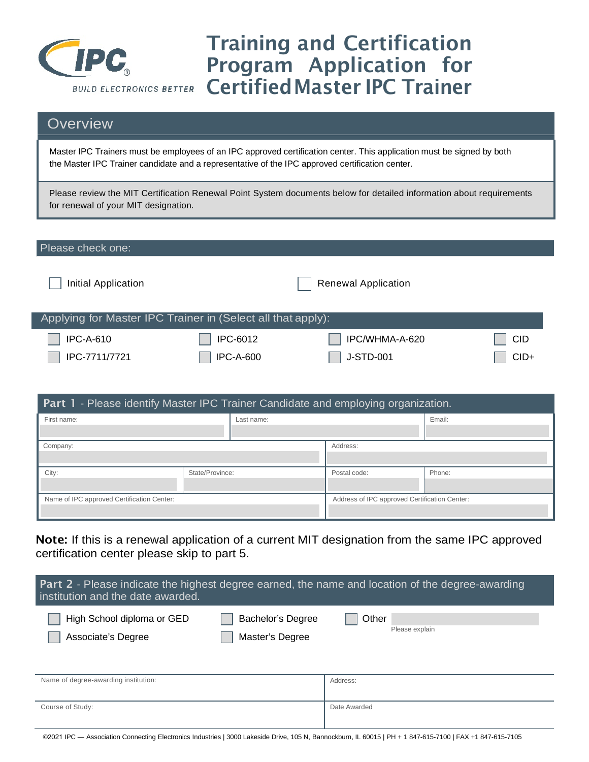

# Training and Certification Program Application for CertifiedMaster IPC Trainer

# **Overview**

Master IPC Trainers must be employees of an IPC approved certification center. This application must be signed by both the Master IPC Trainer candidate and a representative of the IPC approved certification center.

Please review the MIT Certification Renewal Point System documents below for detailed information about requirements for renewal of your MIT designation.

#### Please check one: Initial Application **Renewal Application** Renewal Application Applying for Master IPC Trainer in (Select all that apply): IPC-A-610 IPC-7711/7721 IPC-6012 IPC-A-600 IPC/WHMA-A-620 J-STD-001 CID CID+

| <b>Part 1 - Please identify Master IPC Trainer Candidate and employing organization.</b> |                 |                                               |              |        |
|------------------------------------------------------------------------------------------|-----------------|-----------------------------------------------|--------------|--------|
| First name:                                                                              |                 | Last name:                                    |              | Email: |
|                                                                                          |                 |                                               |              |        |
| Company:                                                                                 |                 | Address:                                      |              |        |
|                                                                                          |                 |                                               |              |        |
| City:                                                                                    | State/Province: |                                               | Postal code: | Phone: |
|                                                                                          |                 |                                               |              |        |
| Name of IPC approved Certification Center:                                               |                 | Address of IPC approved Certification Center: |              |        |
|                                                                                          |                 |                                               |              |        |

Note: If this is a renewal application of a current MIT designation from the same IPC approved certification center please skip to part 5.

| Part 2 - Please indicate the highest degree earned, the name and location of the degree-awarding<br>institution and the date awarded. |                                             |                         |  |
|---------------------------------------------------------------------------------------------------------------------------------------|---------------------------------------------|-------------------------|--|
| High School diploma or GED<br>Associate's Degree                                                                                      | <b>Bachelor's Degree</b><br>Master's Degree | Other<br>Please explain |  |
| Name of degree-awarding institution:                                                                                                  |                                             | Address:                |  |
| Course of Study:                                                                                                                      |                                             | Date Awarded            |  |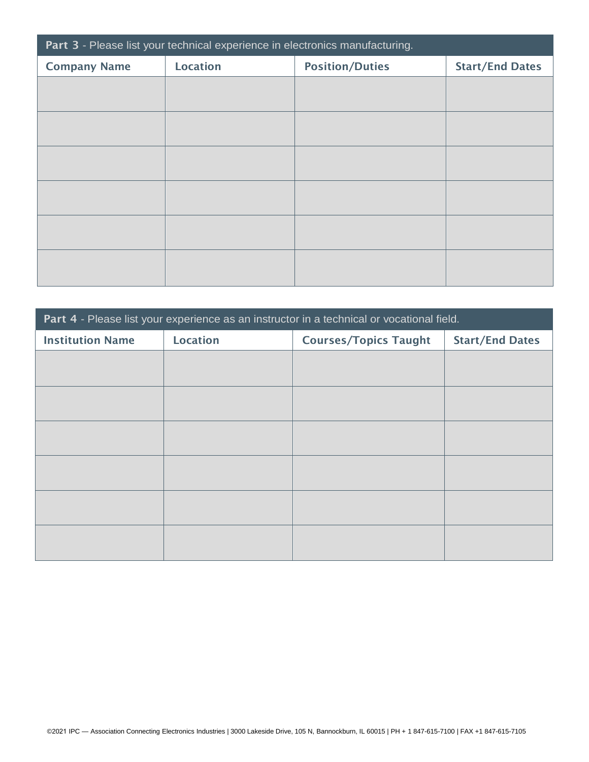| Part 3 - Please list your technical experience in electronics manufacturing. |                 |                        |                        |  |
|------------------------------------------------------------------------------|-----------------|------------------------|------------------------|--|
| <b>Company Name</b>                                                          | <b>Location</b> | <b>Position/Duties</b> | <b>Start/End Dates</b> |  |
|                                                                              |                 |                        |                        |  |
|                                                                              |                 |                        |                        |  |
|                                                                              |                 |                        |                        |  |
|                                                                              |                 |                        |                        |  |
|                                                                              |                 |                        |                        |  |
|                                                                              |                 |                        |                        |  |
|                                                                              |                 |                        |                        |  |
|                                                                              |                 |                        |                        |  |
|                                                                              |                 |                        |                        |  |
|                                                                              |                 |                        |                        |  |
|                                                                              |                 |                        |                        |  |
|                                                                              |                 |                        |                        |  |

| Part 4 - Please list your experience as an instructor in a technical or vocational field. |                 |                              |                        |  |
|-------------------------------------------------------------------------------------------|-----------------|------------------------------|------------------------|--|
| <b>Institution Name</b>                                                                   | <b>Location</b> | <b>Courses/Topics Taught</b> | <b>Start/End Dates</b> |  |
|                                                                                           |                 |                              |                        |  |
|                                                                                           |                 |                              |                        |  |
|                                                                                           |                 |                              |                        |  |
|                                                                                           |                 |                              |                        |  |
|                                                                                           |                 |                              |                        |  |
|                                                                                           |                 |                              |                        |  |
|                                                                                           |                 |                              |                        |  |
|                                                                                           |                 |                              |                        |  |
|                                                                                           |                 |                              |                        |  |
|                                                                                           |                 |                              |                        |  |
|                                                                                           |                 |                              |                        |  |
|                                                                                           |                 |                              |                        |  |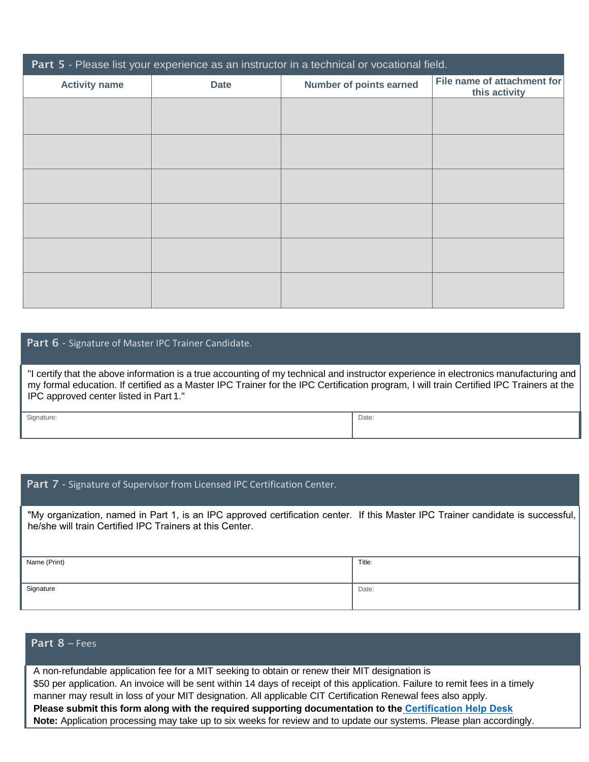| Part 5 - Please list your experience as an instructor in a technical or vocational field. |             |                                |                                              |  |
|-------------------------------------------------------------------------------------------|-------------|--------------------------------|----------------------------------------------|--|
| <b>Activity name</b>                                                                      | <b>Date</b> | <b>Number of points earned</b> | File name of attachment for<br>this activity |  |
|                                                                                           |             |                                |                                              |  |
|                                                                                           |             |                                |                                              |  |
|                                                                                           |             |                                |                                              |  |
|                                                                                           |             |                                |                                              |  |
|                                                                                           |             |                                |                                              |  |
|                                                                                           |             |                                |                                              |  |
|                                                                                           |             |                                |                                              |  |
|                                                                                           |             |                                |                                              |  |
|                                                                                           |             |                                |                                              |  |
|                                                                                           |             |                                |                                              |  |
|                                                                                           |             |                                |                                              |  |

#### Part 6 - Signature of Master IPC Trainer Candidate.

"I certify that the above information is a true accounting of my technical and instructor experience in electronics manufacturing and my formal education. If certified as a Master IPC Trainer for the IPC Certification program, I will train Certified IPC Trainers at the IPC approved center listed in Part 1."

Signature: **Date:** Date: **Date:** Date: **Date: Proposition: Proposition: Proposition: Proposition: Proposition: Proposition: Proposition: Proposition: Proposition: Proposition: Proposition: Proposition: Proposition: Proposi** 

Part 7 - Signature of Supervisor from Licensed IPC Certification Center.

"My organization, named in Part 1, is an IPC approved certification center. If this Master IPC Trainer candidate is successful, he/she will train Certified IPC Trainers at this Center.

| Name (Print) | Title: |
|--------------|--------|
| Signature    | Date:  |

#### Part 8 – Fees

A non-refundable application fee for a MIT seeking to obtain or renew their MIT designation is \$50 per application. An invoice will be sent within 14 days of receipt of this application. Failure to remit fees in a timely manner may result in loss of your MIT designation. All applicable CIT Certification Renewal fees also apply. **Please submit this form along with the required supporting documentation to th[e Certification Help](https://ipcinc.atlassian.net/servicedesk/customer/portal/2/user/login?destination=portal%2F2) Desk Note:** Application processing may take up to six weeks for review and to update our systems. Please plan accordingly.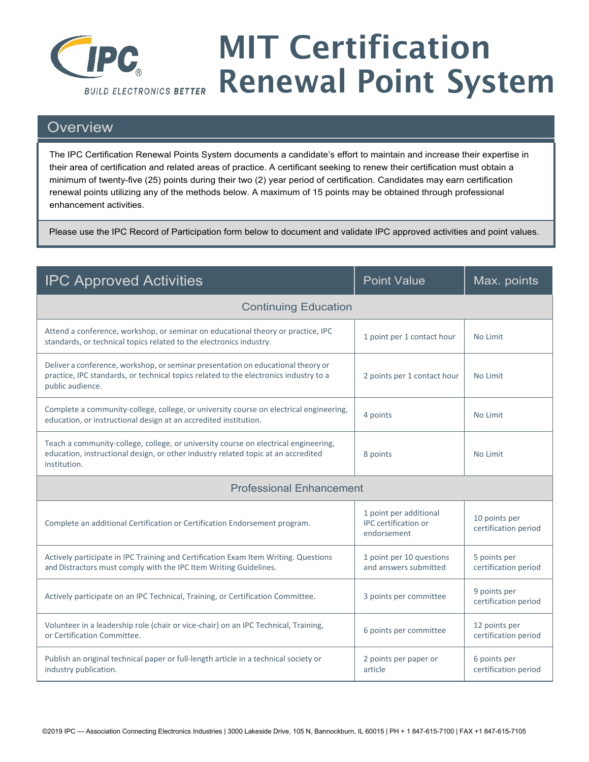

# MIT Certification Renewal Point System

### **Overview**

The IPC Certification Renewal Points System documents a candidate's effort to maintain and increase their expertise in their area of certification and related areas of practice. A certificant seeking to renew their certification must obtain a minimum of twenty-five (25) points during their two (2) year period of certification. Candidates may earn certification renewal points utilizing any of the methods below. A maximum of 15 points may be obtained through professional enhancement activities.

Please use the IPC Record of Participation form below to document and validate IPC approved activities and point values.

| <b>IPC Approved Activities</b>                                                                                                                                                                | <b>Point Value</b>                                                   | Max. points                           |  |  |
|-----------------------------------------------------------------------------------------------------------------------------------------------------------------------------------------------|----------------------------------------------------------------------|---------------------------------------|--|--|
| <b>Continuing Education</b>                                                                                                                                                                   |                                                                      |                                       |  |  |
| Attend a conference, workshop, or seminar on educational theory or practice, IPC<br>standards, or technical topics related to the electronics industry.                                       | 1 point per 1 contact hour                                           | No Limit                              |  |  |
| Deliver a conference, workshop, or seminar presentation on educational theory or<br>practice, IPC standards, or technical topics related to the electronics industry to a<br>public audience. | 2 points per 1 contact hour                                          | No Limit                              |  |  |
| Complete a community-college, college, or university course on electrical engineering,<br>education, or instructional design at an accredited institution.                                    | 4 points                                                             | No Limit                              |  |  |
| Teach a community-college, college, or university course on electrical engineering,<br>education, instructional design, or other industry related topic at an accredited<br>institution.      | 8 points                                                             | No Limit                              |  |  |
|                                                                                                                                                                                               | <b>Professional Enhancement</b>                                      |                                       |  |  |
| Complete an additional Certification or Certification Endorsement program.                                                                                                                    | 1 point per additional<br><b>IPC</b> certification or<br>endorsement | 10 points per<br>certification period |  |  |
| Actively participate in IPC Training and Certification Exam Item Writing. Questions<br>and Distractors must comply with the IPC Item Writing Guidelines.                                      | 1 point per 10 questions<br>and answers submitted                    | 5 points per<br>certification period  |  |  |
| Actively participate on an IPC Technical, Training, or Certification Committee.                                                                                                               | 3 points per committee                                               | 9 points per<br>certification period  |  |  |
| Volunteer in a leadership role (chair or vice-chair) on an IPC Technical, Training,<br>or Certification Committee.                                                                            | 6 points per committee                                               | 12 points per<br>certification period |  |  |
| Publish an original technical paper or full-length article in a technical society or<br>industry publication.                                                                                 | 2 points per paper or<br>article                                     | 6 points per<br>certification period  |  |  |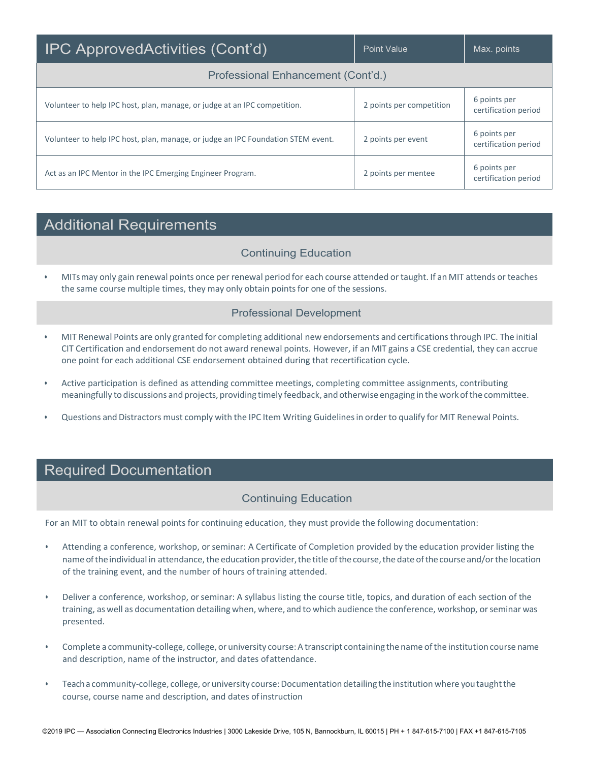| <b>IPC ApprovedActivities (Cont'd)</b>                                           | Point Value              | Max. points                          |  |
|----------------------------------------------------------------------------------|--------------------------|--------------------------------------|--|
| Professional Enhancement (Cont'd.)                                               |                          |                                      |  |
| Volunteer to help IPC host, plan, manage, or judge at an IPC competition.        | 2 points per competition | 6 points per<br>certification period |  |
| Volunteer to help IPC host, plan, manage, or judge an IPC Foundation STEM event. | 2 points per event       | 6 points per<br>certification period |  |
| Act as an IPC Mentor in the IPC Emerging Engineer Program.                       | 2 points per mentee      | 6 points per<br>certification period |  |

# Additional Requirements

#### Continuing Education

• MITsmay only gain renewal points once per renewal period for each course attended or taught. If an MIT attends or teaches the same course multiple times, they may only obtain points for one of the sessions.

#### Professional Development

- MIT Renewal Points are only granted for completing additional new endorsements and certificationsthrough IPC. The initial CIT Certification and endorsement do not award renewal points. However, if an MIT gains a CSE credential, they can accrue one point for each additional CSE endorsement obtained during that recertification cycle.
- Active participation is defined as attending committee meetings, completing committee assignments, contributing meaningfully to discussions and projects, providing timely feedback, and otherwise engaging intheworkofthe committee.
- Questions and Distractors must comply with the IPC Item Writing Guidelinesin order to qualify for MIT Renewal Points.

# Required Documentation

#### Continuing Education

For an MIT to obtain renewal points for continuing education, they must provide the following documentation:

- Attending a conference, workshop, or seminar: A Certificate of Completion provided by the education provider listing the name of the individual in attendance, the education provider, the title of the course, the date of the course and/or the location of the training event, and the number of hours of training attended.
- Deliver a conference, workshop, or seminar: A syllabus listing the course title, topics, and duration of each section of the training, as well as documentation detailing when, where, and to which audience the conference, workshop, or seminar was presented.
- Complete a community-college, college, or university course:A transcript containing the name ofthe institution course name and description, name of the instructor, and dates ofattendance.
- Teach a community-college, college, or university course: Documentation detailing the institution where you taught the course, course name and description, and dates ofinstruction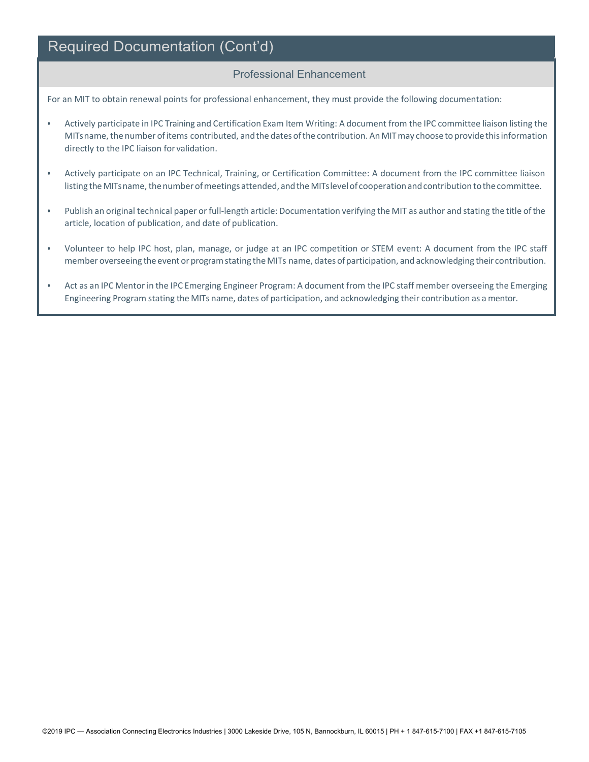# Required Documentation (Cont'd)

#### Professional Enhancement

For an MIT to obtain renewal points for professional enhancement, they must provide the following documentation:

- Actively participate in IPC Training and Certification Exam Item Writing: A document from the IPC committee liaison listing the MITsname, the number of items contributed, and the dates of the contribution. An MIT may choose to provide this information directly to the IPC liaison for validation.
- Actively participate on an IPC Technical, Training, or Certification Committee: A document from the IPC committee liaison listing the MITs name, the number of meetings attended, and the MITs level of cooperation and contribution to the committee.
- Publish an original technical paper or full-length article: Documentation verifying the MIT as author and stating the title ofthe article, location of publication, and date of publication.
- Volunteer to help IPC host, plan, manage, or judge at an IPC competition or STEM event: A document from the IPC staff member overseeing the event or program stating the MITs name, dates of participation, and acknowledging their contribution.
- Act as an IPC Mentor in the IPC Emerging Engineer Program: A document from the IPC staff member overseeing the Emerging Engineering Program stating the MITs name, dates of participation, and acknowledging their contribution as a mentor.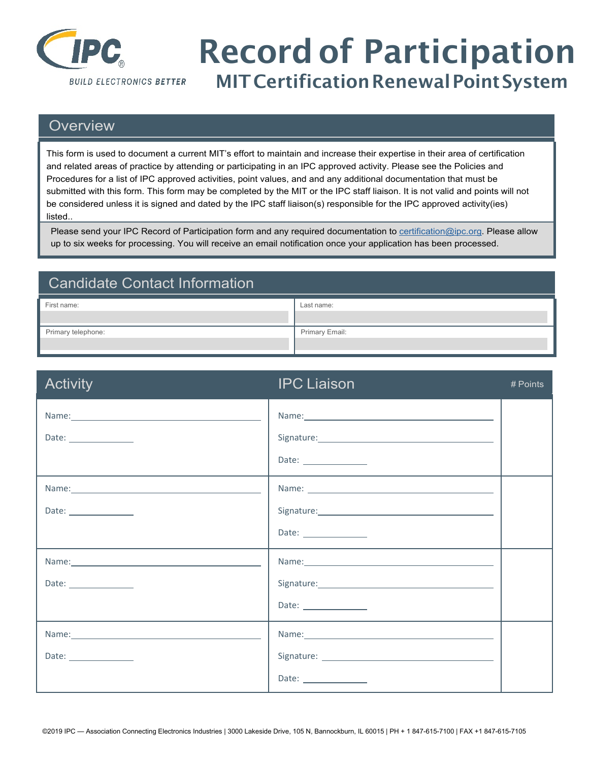

# Record of Participation<br>MITCertification Renewal Point System

# **Overview**

This form is used to document a current MIT's effort to maintain and increase their expertise in their area of certification and related areas of practice by attending or participating in an IPC approved activity. Please see the Policies and Procedures for a list of IPC approved activities, point values, and and any additional documentation that must be submitted with this form. This form may be completed by the MIT or the IPC staff liaison. It is not valid and points will not be considered unless it is signed and dated by the IPC staff liaison(s) responsible for the IPC approved activity(ies) listed..

Please send your IPC Record of Participation form and any required documentation to [certification@ipc.org. P](mailto:certification@ipc.org)lease allow up to six weeks for processing. You will receive an email notification once your application has been processed.

| <b>Candidate Contact Information</b> |                |
|--------------------------------------|----------------|
| First name:                          | Last name:     |
| Primary telephone:                   | Primary Email: |

| <b>Activity</b>                                                                                                                                                                                                                | <b>IPC Liaison</b>                                                                                                                                                                                                             | # Points |
|--------------------------------------------------------------------------------------------------------------------------------------------------------------------------------------------------------------------------------|--------------------------------------------------------------------------------------------------------------------------------------------------------------------------------------------------------------------------------|----------|
|                                                                                                                                                                                                                                | Name: Name and the second state of the second state of the second state of the second state of the second state of the second state of the second state of the second state of the second state of the second state of the sec |          |
| Date: $\qquad \qquad$                                                                                                                                                                                                          |                                                                                                                                                                                                                                |          |
|                                                                                                                                                                                                                                | Date: ________________                                                                                                                                                                                                         |          |
| Name: Name: Name: Name: Name: Name: Name: Name: Name: Name: Name: Name: Name: Name: Name: Name: Name: Name: Name: Name: Name: Name: Name: Name: Name: Name: Name: Name: Name: Name: Name: Name: Name: Name: Name: Name: Name:  |                                                                                                                                                                                                                                |          |
| Date: ________________                                                                                                                                                                                                         |                                                                                                                                                                                                                                |          |
|                                                                                                                                                                                                                                | Date: $\frac{1}{\sqrt{1-\frac{1}{2}}\cdot\frac{1}{2}}$                                                                                                                                                                         |          |
| Name: Name: 2008 and 2008 and 2008 and 2008 and 2008 and 2008 and 2008 and 2008 and 2008 and 2008 and 2008 and 2008 and 2008 and 2008 and 2008 and 2008 and 2008 and 2008 and 2008 and 2008 and 2008 and 2008 and 2008 and 200 | Name: Name: Name: Name: Name: Name: Name: Name: Name: Name: Name: Name: Name: Name: Name: Name: Name: Name: Name: Name: Name: Name: Name: Name: Name: Name: Name: Name: Name: Name: Name: Name: Name: Name: Name: Name: Name:  |          |
| Date: ________________                                                                                                                                                                                                         |                                                                                                                                                                                                                                |          |
|                                                                                                                                                                                                                                |                                                                                                                                                                                                                                |          |
|                                                                                                                                                                                                                                |                                                                                                                                                                                                                                |          |
| Date: _______________                                                                                                                                                                                                          |                                                                                                                                                                                                                                |          |
|                                                                                                                                                                                                                                | Date: ________________                                                                                                                                                                                                         |          |